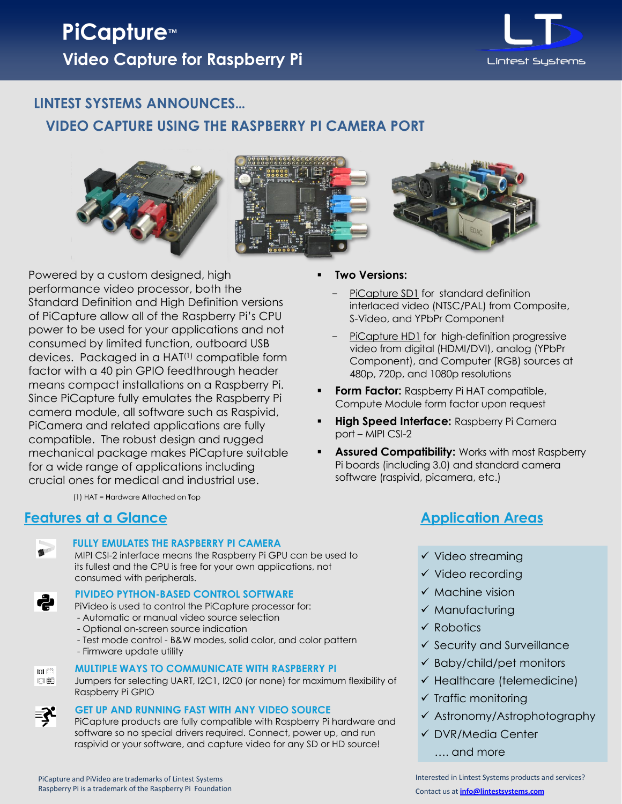

## **LINTEST SYSTEMS ANNOUNCES… VIDEO CAPTURE USING THE RASPBERRY PI CAMERA PORT**



Powered by a custom designed, high performance video processor, both the Standard Definition and High Definition versions of PiCapture allow all of the Raspberry Pi's CPU power to be used for your applications and not consumed by limited function, outboard USB devices. Packaged in a HAT(1) compatible form factor with a 40 pin GPIO feedthrough header means compact installations on a Raspberry Pi. Since PiCapture fully emulates the Raspberry Pi camera module, all software such as Raspivid, PiCamera and related applications are fully compatible. The robust design and rugged mechanical package makes PiCapture suitable for a wide range of applications including crucial ones for medical and industrial use.

(1) HAT = **H**ardware **A**ttached on **T**op

## **Features at a Glance**



ہے

#### **FULLY EMULATES THE RASPBERRY PI CAMERA**

MIPI CSI-2 interface means the Raspberry Pi GPU can be used to its fullest and the CPU is free for your own applications, not consumed with peripherals.

#### **PIVIDEO PYTHON-BASED CONTROL SOFTWARE**

PiVideo is used to control the PiCapture processor for:

- Automatic or manual video source selection
- Optional on-screen source indication
- Test mode control B&W modes, solid color, and color pattern
- Firmware update utility



₹,

#### **MULTIPLE WAYS TO COMMUNICATE WITH RASPBERRY PI**

DË Jumpers for selecting UART, I2C1, I2C0 (or none) for maximum flexibility of Raspberry Pi GPIO

#### **GET UP AND RUNNING FAST WITH ANY VIDEO SOURCE**

PiCapture products are fully compatible with Raspberry Pi hardware and software so no special drivers required. Connect, power up, and run raspivid or your software, and capture video for any SD or HD source!

**Two Versions:**

- PiCapture SD1 for standard definition interlaced video (NTSC/PAL) from Composite, S-Video, and YPbPr Component
- PiCapture HD1 for high-definition progressive video from digital (HDMI/DVI), analog (YPbPr Component), and Computer (RGB) sources at 480p, 720p, and 1080p resolutions
- **Form Factor:** Raspberry Pi HAT compatible, Compute Module form factor upon request
- **High Speed Interface:** Raspberry Pi Camera port – MIPI CSI-2
- **Assured Compatibility:** Works with most Raspberry Pi boards (including 3.0) and standard camera software (raspivid, picamera, etc.)

## **Application Areas**

- $\checkmark$  Video streaming
- $\checkmark$  Video recording
- $\checkmark$  Machine vision
- $\checkmark$  Manufacturing
- **√ Robotics**
- $\checkmark$  Security and Surveillance
- $\checkmark$  Baby/child/pet monitors
- $\checkmark$  Healthcare (telemedicine)
- $\checkmark$  Traffic monitoring
- Astronomy/Astrophotography
- DVR/Media Center
	- …. and more

Interested in Lintest Systems products and services? Contact us at **[info@lintestsystems.com](mailto:info@lintestsystems.com)**